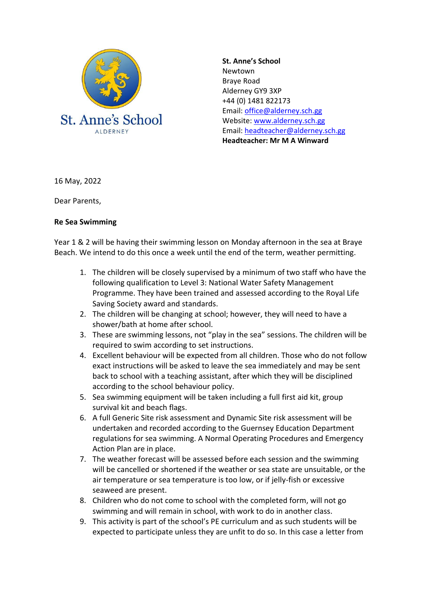

**St. Anne's School**  Newtown Braye Road Alderney GY9 3XP +44 (0) 1481 822173 Email: [office@alderney.sch.gg](mailto:office@alderney.sch.gg) Website: [www.alderney.sch.gg](http://www.alderney.sch.gg/) Email: [headteacher@alderney.sch.gg](mailto:headteacher@alderney.sch.gg) **Headteacher: Mr M A Winward**

16 May, 2022

Dear Parents,

## **Re Sea Swimming**

Year 1 & 2 will be having their swimming lesson on Monday afternoon in the sea at Braye Beach. We intend to do this once a week until the end of the term, weather permitting.

- 1. The children will be closely supervised by a minimum of two staff who have the following qualification to Level 3: National Water Safety Management Programme. They have been trained and assessed according to the Royal Life Saving Society award and standards.
- 2. The children will be changing at school; however, they will need to have a shower/bath at home after school.
- 3. These are swimming lessons, not "play in the sea" sessions. The children will be required to swim according to set instructions.
- 4. Excellent behaviour will be expected from all children. Those who do not follow exact instructions will be asked to leave the sea immediately and may be sent back to school with a teaching assistant, after which they will be disciplined according to the school behaviour policy.
- 5. Sea swimming equipment will be taken including a full first aid kit, group survival kit and beach flags.
- 6. A full Generic Site risk assessment and Dynamic Site risk assessment will be undertaken and recorded according to the Guernsey Education Department regulations for sea swimming. A Normal Operating Procedures and Emergency Action Plan are in place.
- 7. The weather forecast will be assessed before each session and the swimming will be cancelled or shortened if the weather or sea state are unsuitable, or the air temperature or sea temperature is too low, or if jelly-fish or excessive seaweed are present.
- 8. Children who do not come to school with the completed form, will not go swimming and will remain in school, with work to do in another class.
- 9. This activity is part of the school's PE curriculum and as such students will be expected to participate unless they are unfit to do so. In this case a letter from